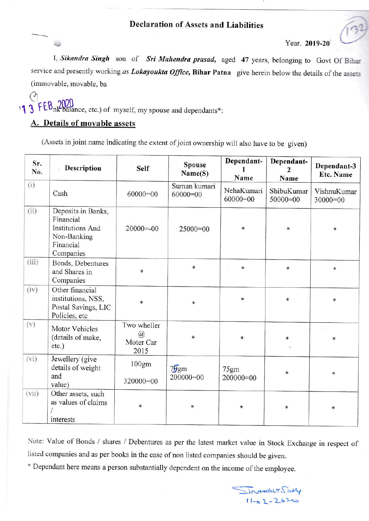Year. 2019-20

I, Sikandra Singh son of Sri Mahendra prasad, aged 47 years, belonging to Govt Of Bihar service and presently working as Lokayoukta Office, Bihar Patna give herein below the details of the assets (immovable, movable, ba

## :1 3 FEB nk balance, etc.) of myself, my spouse and dependants\*:

## A. Details of movable assets

(Assets in joint name indicating the extent of joint ownership will also have to be given)

| Sr.<br>No. | Description                                                                                  | <b>Self</b>                           | <b>Spouse</b><br>Name(S)   | Dependant-<br>Name       | Dependant-<br>Name       | Dependant-3<br>Etc. Name  |
|------------|----------------------------------------------------------------------------------------------|---------------------------------------|----------------------------|--------------------------|--------------------------|---------------------------|
| (i)        | Cash                                                                                         | $60000=00$                            | Suman kumari<br>$60000=00$ | NehaKumari<br>$60000=00$ | ShibuKumar<br>$50000=00$ | VishnuKumar<br>$30000=00$ |
| (ii)       | Deposits in Banks,<br>Financial<br>Institutions And<br>Non-Banking<br>Financial<br>Companies | $20000 = -00$                         | $25000=00$                 | $\ast$                   | $\ast$                   | $\ast$                    |
| (iii)      | Bonds, Debentures<br>and Shares in<br>Companies                                              | *                                     | $\ast$                     | $\ast$                   | *                        | $\ast$                    |
| (iv)       | Other financial<br>institutions, NSS,<br>Postal Savings, LIC<br>Policies, etc                | $\ast$                                | $\ast$                     | *                        | $\ast$                   | *                         |
| (v)        | Motor Vehicles<br>(details of make,<br>$etc.$ )                                              | Two wheller<br>@<br>Moter Car<br>2015 | $\ast$                     | $\approx$                | $\ast$                   | ×                         |
| (vi)       | Jewellery (give<br>details of weight<br>and<br>value)                                        | 100gm<br>320000=00                    | 79gm<br>$200000=00$        | 75gm<br>$200000=00$      | *                        | $\ast$                    |
| (vii)      | Other assets, such<br>as values of claims<br>interests                                       | $\ast$                                | *                          | $\ast$                   | $\ast$                   | $\ast$                    |

Note: Value of Bonds / shares / Debentures as per the latest market value in Stock Exchange in respect of listed companies and as per books in the case of non listed companies should be given.

\* Dependant here means a person substantially dependent on the income of the employee.

Jilandur Silly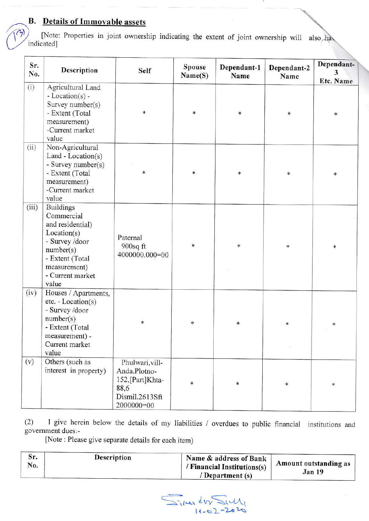## **B.** Details of Immovable assets

[Note: Properties in joint ownership indicating the extent of joint ownership will also have indicated]

| Sr.<br>No. | Description                                                                                                                                                      | <b>Self</b>                                                                                | <b>Spouse</b><br>Name(S) | Dependant-1<br>Name | Dependant-2<br>Name | Dependant-<br>3<br>Etc. Name |
|------------|------------------------------------------------------------------------------------------------------------------------------------------------------------------|--------------------------------------------------------------------------------------------|--------------------------|---------------------|---------------------|------------------------------|
| (i)        | Agricultural Land<br>- Location( $s$ ) -<br>Survey number(s)<br>- Extent (Total<br>measurement)<br>-Current market<br>value                                      | $\ast$                                                                                     | *                        | $\ast$              | *                   | *                            |
| (ii)       | Non-Agricultural<br>Land - $Location(s)$<br>- Survey number(s)<br>- Extent (Total<br>measurement)<br>-Current market<br>value                                    | $\ast$                                                                                     | $\ast$                   | $\ast$              | *                   | $\ast$                       |
| (iii)      | <b>Buildings</b><br>Commercial<br>and residential)<br>Location(s)<br>- Survey /door<br>number(s)<br>- Extent (Total<br>measurement)<br>- Current market<br>value | Paternal<br>$900$ sq ft<br>4000000.000=00                                                  | $\ast$                   | $\ast$              | *                   | *                            |
| (iv)       | Houses / Apartments,<br>$etc. - Location(s)$<br>- Survey /door<br>number(s)<br>- Extent (Total<br>measurement) -<br>Current market<br>value                      | $\ast$                                                                                     | $\ast$                   | *                   | ∗                   | *                            |
| (v)        | Others (such as<br>interest in property)                                                                                                                         | Phulwari, vill-<br>Anda.Plotno-<br>152,[Part]Khta-<br>88,6<br>Dismil.2613Sft<br>2000000=00 | *                        | $\ast$              | $\ast$              | *                            |

I give herein below the details of my liabilities / overdues to public financial institutions and  $(2)$ government dues:-

[Note : Please give separate details for each item)

| эr.<br>No. | Description | Name & address of Bank<br>/ Financial Institutions(s)<br>/ Department (s) | Amount outstanding as<br>Jan 19 |
|------------|-------------|---------------------------------------------------------------------------|---------------------------------|
|            |             |                                                                           |                                 |

 $\sum_{1/4} 417 \sum_{1/4}$ 20